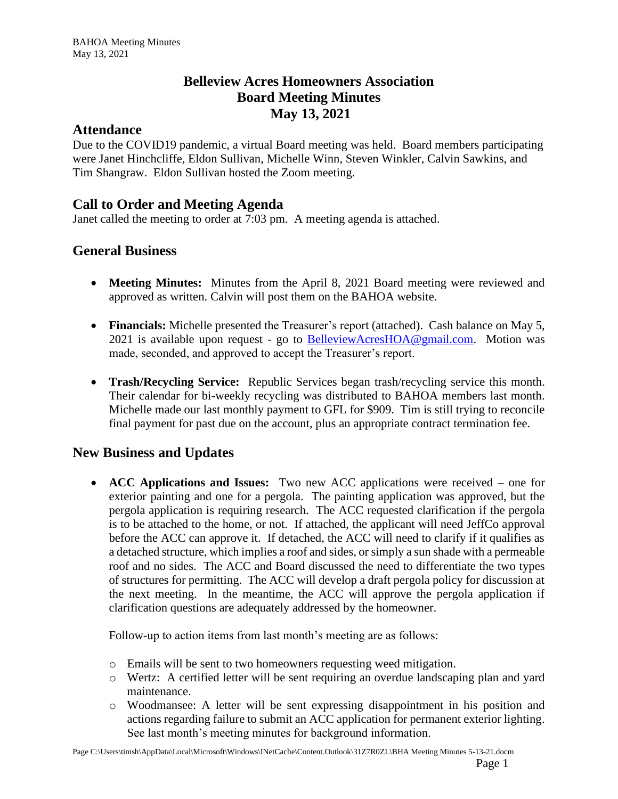## **Belleview Acres Homeowners Association Board Meeting Minutes May 13, 2021**

#### **Attendance**

Due to the COVID19 pandemic, a virtual Board meeting was held. Board members participating were Janet Hinchcliffe, Eldon Sullivan, Michelle Winn, Steven Winkler, Calvin Sawkins, and Tim Shangraw. Eldon Sullivan hosted the Zoom meeting.

# **Call to Order and Meeting Agenda**

Janet called the meeting to order at 7:03 pm. A meeting agenda is attached.

### **General Business**

- **Meeting Minutes:** Minutes from the April 8, 2021 Board meeting were reviewed and approved as written. Calvin will post them on the BAHOA website.
- **Financials:** Michelle presented the Treasurer's report (attached). Cash balance on May 5, 2021 is available upon request - go to [BelleviewAcresHOA@gmail.com.](mailto:BelleviewAcresHOA@gmail.com) Motion was made, seconded, and approved to accept the Treasurer's report.
- **Trash/Recycling Service:** Republic Services began trash/recycling service this month. Their calendar for bi-weekly recycling was distributed to BAHOA members last month. Michelle made our last monthly payment to GFL for \$909. Tim is still trying to reconcile final payment for past due on the account, plus an appropriate contract termination fee.

### **New Business and Updates**

• **ACC Applications and Issues:** Two new ACC applications were received – one for exterior painting and one for a pergola. The painting application was approved, but the pergola application is requiring research. The ACC requested clarification if the pergola is to be attached to the home, or not. If attached, the applicant will need JeffCo approval before the ACC can approve it. If detached, the ACC will need to clarify if it qualifies as a detached structure, which implies a roof and sides, or simply a sun shade with a permeable roof and no sides. The ACC and Board discussed the need to differentiate the two types of structures for permitting. The ACC will develop a draft pergola policy for discussion at the next meeting. In the meantime, the ACC will approve the pergola application if clarification questions are adequately addressed by the homeowner.

Follow-up to action items from last month's meeting are as follows:

- o Emails will be sent to two homeowners requesting weed mitigation.
- o Wertz: A certified letter will be sent requiring an overdue landscaping plan and yard maintenance.
- o Woodmansee: A letter will be sent expressing disappointment in his position and actions regarding failure to submit an ACC application for permanent exterior lighting. See last month's meeting minutes for background information.